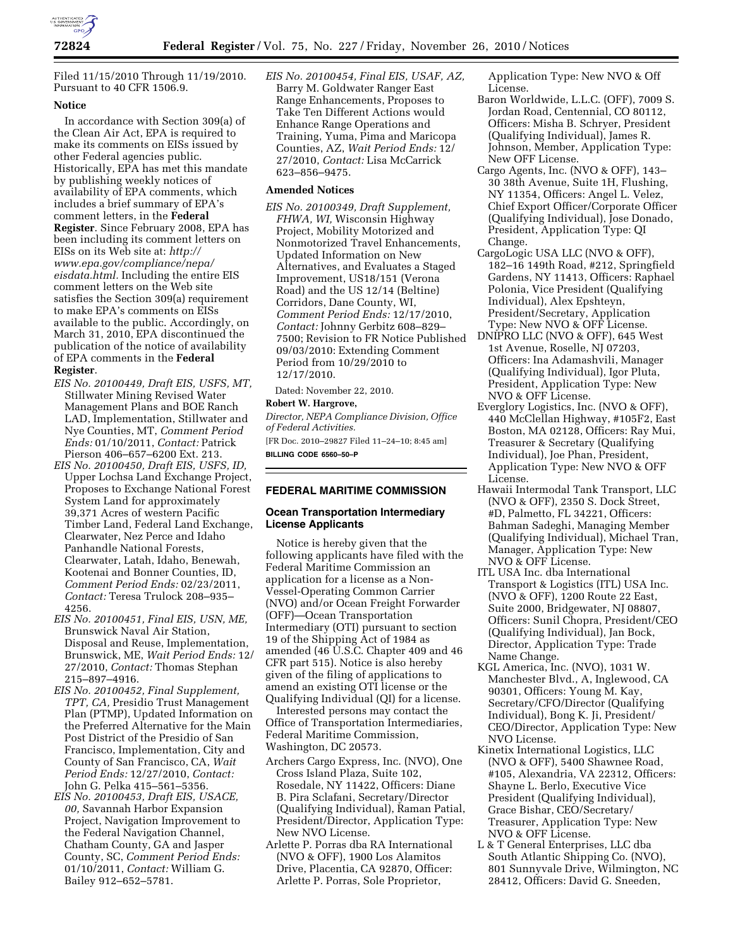

Filed 11/15/2010 Through 11/19/2010. Pursuant to 40 CFR 1506.9.

## **Notice**

In accordance with Section 309(a) of the Clean Air Act, EPA is required to make its comments on EISs issued by other Federal agencies public. Historically, EPA has met this mandate by publishing weekly notices of availability of EPA comments, which includes a brief summary of EPA's comment letters, in the **Federal Register**. Since February 2008, EPA has been including its comment letters on EISs on its Web site at: *[http://](http://www.epa.gov/compliance/nepa/eisdata.html)  [www.epa.gov/compliance/nepa/](http://www.epa.gov/compliance/nepa/eisdata.html)  [eisdata.html.](http://www.epa.gov/compliance/nepa/eisdata.html)* Including the entire EIS comment letters on the Web site satisfies the Section 309(a) requirement to make EPA's comments on EISs available to the public. Accordingly, on March 31, 2010, EPA discontinued the publication of the notice of availability of EPA comments in the **Federal Register**.

- *EIS No. 20100449, Draft EIS, USFS, MT,*  Stillwater Mining Revised Water Management Plans and BOE Ranch LAD, Implementation, Stillwater and Nye Counties, MT, *Comment Period Ends:* 01/10/2011, *Contact:* Patrick Pierson 406–657–6200 Ext. 213.
- *EIS No. 20100450, Draft EIS, USFS, ID,*  Upper Lochsa Land Exchange Project, Proposes to Exchange National Forest System Land for approximately 39,371 Acres of western Pacific Timber Land, Federal Land Exchange, Clearwater, Nez Perce and Idaho Panhandle National Forests, Clearwater, Latah, Idaho, Benewah, Kootenai and Bonner Counties, ID, *Comment Period Ends:* 02/23/2011, *Contact:* Teresa Trulock 208–935– 4256.
- *EIS No. 20100451, Final EIS, USN, ME,*  Brunswick Naval Air Station, Disposal and Reuse, Implementation, Brunswick, ME, *Wait Period Ends:* 12/ 27/2010, *Contact:* Thomas Stephan 215–897–4916.
- *EIS No. 20100452, Final Supplement, TPT, CA,* Presidio Trust Management Plan (PTMP), Updated Information on the Preferred Alternative for the Main Post District of the Presidio of San Francisco, Implementation, City and County of San Francisco, CA, *Wait Period Ends:* 12/27/2010, *Contact:*  John G. Pelka 415–561–5356.
- *EIS No. 20100453, Draft EIS, USACE, 00,* Savannah Harbor Expansion Project, Navigation Improvement to the Federal Navigation Channel, Chatham County, GA and Jasper County, SC, *Comment Period Ends:*  01/10/2011, *Contact:* William G. Bailey 912–652–5781.

*EIS No. 20100454, Final EIS, USAF, AZ,*  Barry M. Goldwater Ranger East Range Enhancements, Proposes to Take Ten Different Actions would Enhance Range Operations and Training, Yuma, Pima and Maricopa Counties, AZ, *Wait Period Ends:* 12/ 27/2010, *Contact:* Lisa McCarrick 623–856–9475.

## **Amended Notices**

*EIS No. 20100349, Draft Supplement, FHWA, WI,* Wisconsin Highway Project, Mobility Motorized and Nonmotorized Travel Enhancements, Updated Information on New Alternatives, and Evaluates a Staged Improvement, US18/151 (Verona Road) and the US 12/14 (Beltine) Corridors, Dane County, WI, *Comment Period Ends:* 12/17/2010, *Contact:* Johnny Gerbitz 608–829– 7500; Revision to FR Notice Published 09/03/2010: Extending Comment Period from 10/29/2010 to 12/17/2010.

Dated: November 22, 2010.

### **Robert W. Hargrove,**

*Director, NEPA Compliance Division, Office of Federal Activities.* 

[FR Doc. 2010–29827 Filed 11–24–10; 8:45 am] **BILLING CODE 6560–50–P** 

# **FEDERAL MARITIME COMMISSION**

# **Ocean Transportation Intermediary License Applicants**

Notice is hereby given that the following applicants have filed with the Federal Maritime Commission an application for a license as a Non-Vessel-Operating Common Carrier (NVO) and/or Ocean Freight Forwarder (OFF)—Ocean Transportation Intermediary (OTI) pursuant to section 19 of the Shipping Act of 1984 as amended (46 U.S.C. Chapter 409 and 46 CFR part 515). Notice is also hereby given of the filing of applications to amend an existing OTI license or the Qualifying Individual (QI) for a license.

Interested persons may contact the Office of Transportation Intermediaries, Federal Maritime Commission, Washington, DC 20573.

- Archers Cargo Express, Inc. (NVO), One Cross Island Plaza, Suite 102, Rosedale, NY 11422, Officers: Diane B. Pira Sclafani, Secretary/Director (Qualifying Individual), Raman Patial, President/Director, Application Type: New NVO License.
- Arlette P. Porras dba RA International (NVO & OFF), 1900 Los Alamitos Drive, Placentia, CA 92870, Officer: Arlette P. Porras, Sole Proprietor,

Application Type: New NVO & Off License.

- Baron Worldwide, L.L.C. (OFF), 7009 S. Jordan Road, Centennial, CO 80112, Officers: Misha B. Schryer, President (Qualifying Individual), James R. Johnson, Member, Application Type: New OFF License.
- Cargo Agents, Inc. (NVO & OFF), 143– 30 38th Avenue, Suite 1H, Flushing, NY 11354, Officers: Angel L. Velez, Chief Export Officer/Corporate Officer (Qualifying Individual), Jose Donado, President, Application Type: QI Change.
- CargoLogic USA LLC (NVO & OFF), 182–16 149th Road, #212, Springfield Gardens, NY 11413, Officers: Raphael Polonia, Vice President (Qualifying Individual), Alex Epshteyn, President/Secretary, Application Type: New NVO & OFF License.
- DNIPRO LLC (NVO & OFF), 645 West 1st Avenue, Roselle, NJ 07203, Officers: Ina Adamashvili, Manager (Qualifying Individual), Igor Pluta, President, Application Type: New NVO & OFF License.
- Everglory Logistics, Inc. (NVO & OFF), 440 McClellan Highway, #105F2, East Boston, MA 02128, Officers: Ray Mui, Treasurer & Secretary (Qualifying Individual), Joe Phan, President, Application Type: New NVO & OFF License.
- Hawaii Intermodal Tank Transport, LLC (NVO & OFF), 2350 S. Dock Street, #D, Palmetto, FL 34221, Officers: Bahman Sadeghi, Managing Member (Qualifying Individual), Michael Tran, Manager, Application Type: New NVO & OFF License.
- ITL USA Inc. dba International Transport & Logistics (ITL) USA Inc. (NVO & OFF), 1200 Route 22 East, Suite 2000, Bridgewater, NJ 08807, Officers: Sunil Chopra, President/CEO (Qualifying Individual), Jan Bock, Director, Application Type: Trade Name Change.
- KGL America, Inc. (NVO), 1031 W. Manchester Blvd., A, Inglewood, CA 90301, Officers: Young M. Kay, Secretary/CFO/Director (Qualifying Individual), Bong K. Ji, President/ CEO/Director, Application Type: New NVO License.
- Kinetix International Logistics, LLC (NVO & OFF), 5400 Shawnee Road, #105, Alexandria, VA 22312, Officers: Shayne L. Berlo, Executive Vice President (Qualifying Individual), Grace Bishar, CEO/Secretary/ Treasurer, Application Type: New NVO & OFF License.
- L & T General Enterprises, LLC dba South Atlantic Shipping Co. (NVO), 801 Sunnyvale Drive, Wilmington, NC 28412, Officers: David G. Sneeden,